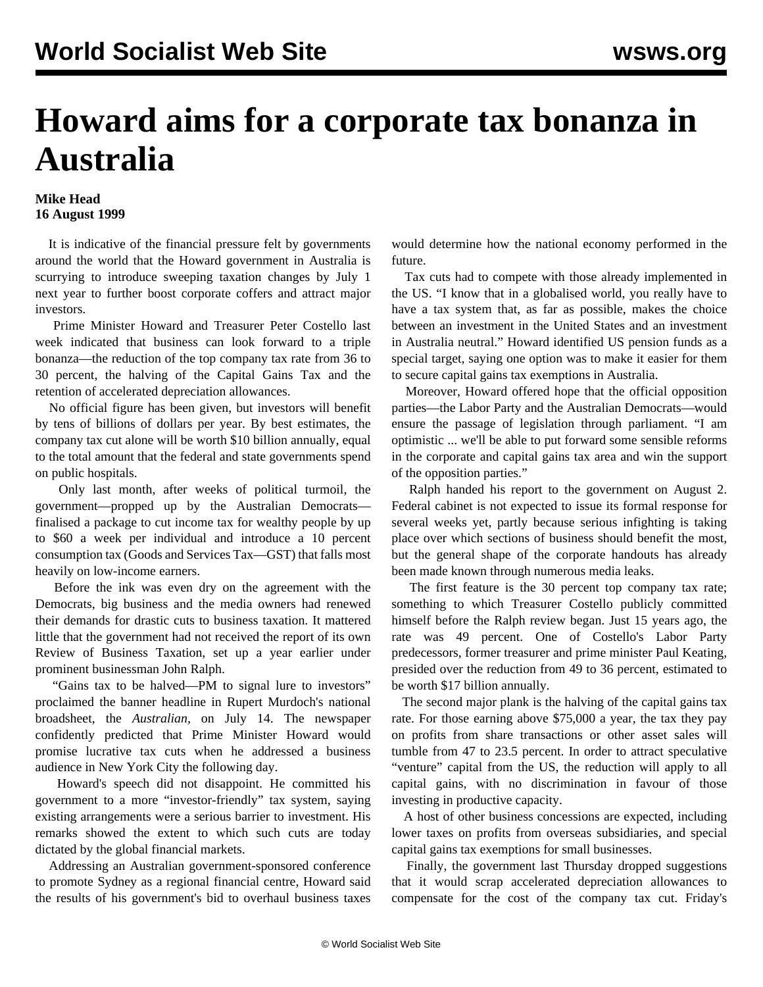## **Howard aims for a corporate tax bonanza in Australia**

## **Mike Head 16 August 1999**

 It is indicative of the financial pressure felt by governments around the world that the Howard government in Australia is scurrying to introduce sweeping taxation changes by July 1 next year to further boost corporate coffers and attract major investors.

 Prime Minister Howard and Treasurer Peter Costello last week indicated that business can look forward to a triple bonanza—the reduction of the top company tax rate from 36 to 30 percent, the halving of the Capital Gains Tax and the retention of accelerated depreciation allowances.

 No official figure has been given, but investors will benefit by tens of billions of dollars per year. By best estimates, the company tax cut alone will be worth \$10 billion annually, equal to the total amount that the federal and state governments spend on public hospitals.

 Only last month, after weeks of political turmoil, the government—propped up by the Australian Democrats finalised a package to cut income tax for wealthy people by up to \$60 a week per individual and introduce a 10 percent consumption tax (Goods and Services Tax—GST) that falls most heavily on low-income earners.

 Before the ink was even dry on the agreement with the Democrats, big business and the media owners had renewed their demands for drastic cuts to business taxation. It mattered little that the government had not received the report of its own Review of Business Taxation, set up a year earlier under prominent businessman John Ralph.

 "Gains tax to be halved—PM to signal lure to investors" proclaimed the banner headline in Rupert Murdoch's national broadsheet, the *Australian,* on July 14. The newspaper confidently predicted that Prime Minister Howard would promise lucrative tax cuts when he addressed a business audience in New York City the following day.

 Howard's speech did not disappoint. He committed his government to a more "investor-friendly" tax system, saying existing arrangements were a serious barrier to investment. His remarks showed the extent to which such cuts are today dictated by the global financial markets.

 Addressing an Australian government-sponsored conference to promote Sydney as a regional financial centre, Howard said the results of his government's bid to overhaul business taxes would determine how the national economy performed in the future.

 Tax cuts had to compete with those already implemented in the US. "I know that in a globalised world, you really have to have a tax system that, as far as possible, makes the choice between an investment in the United States and an investment in Australia neutral." Howard identified US pension funds as a special target, saying one option was to make it easier for them to secure capital gains tax exemptions in Australia.

 Moreover, Howard offered hope that the official opposition parties—the Labor Party and the Australian Democrats—would ensure the passage of legislation through parliament. "I am optimistic ... we'll be able to put forward some sensible reforms in the corporate and capital gains tax area and win the support of the opposition parties."

 Ralph handed his report to the government on August 2. Federal cabinet is not expected to issue its formal response for several weeks yet, partly because serious infighting is taking place over which sections of business should benefit the most, but the general shape of the corporate handouts has already been made known through numerous media leaks.

 The first feature is the 30 percent top company tax rate; something to which Treasurer Costello publicly committed himself before the Ralph review began. Just 15 years ago, the rate was 49 percent. One of Costello's Labor Party predecessors, former treasurer and prime minister Paul Keating, presided over the reduction from 49 to 36 percent, estimated to be worth \$17 billion annually.

 The second major plank is the halving of the capital gains tax rate. For those earning above \$75,000 a year, the tax they pay on profits from share transactions or other asset sales will tumble from 47 to 23.5 percent. In order to attract speculative "venture" capital from the US, the reduction will apply to all capital gains, with no discrimination in favour of those investing in productive capacity.

 A host of other business concessions are expected, including lower taxes on profits from overseas subsidiaries, and special capital gains tax exemptions for small businesses.

 Finally, the government last Thursday dropped suggestions that it would scrap accelerated depreciation allowances to compensate for the cost of the company tax cut. Friday's